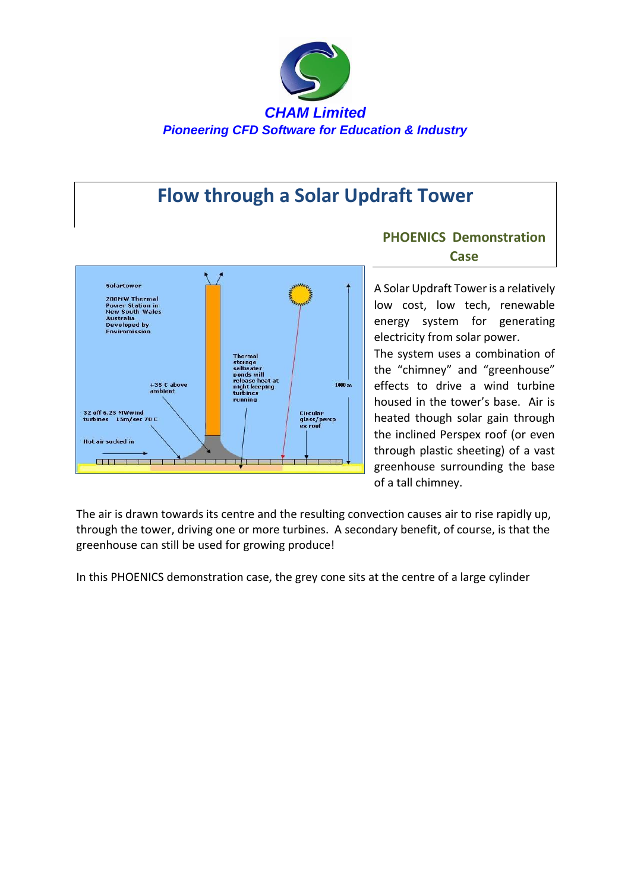

## **Flow through a Solar Updraft Tower**



## **PHOENICS Demonstration Case**

A Solar Updraft Tower is a relatively low cost, low tech, renewable energy system for generating electricity from solar power.

The system uses a combination of the "chimney" and "greenhouse" effects to drive a wind turbine housed in the tower's base. Air is heated though solar gain through the inclined Perspex roof (or even through plastic sheeting) of a vast greenhouse surrounding the base of a tall chimney.

The air is drawn towards its centre and the resulting convection causes air to rise rapidly up, through the tower, driving one or more turbines. A secondary benefit, of course, is that the greenhouse can still be used for growing produce!

In this PHOENICS demonstration case, the grey cone sits at the centre of a large cylinder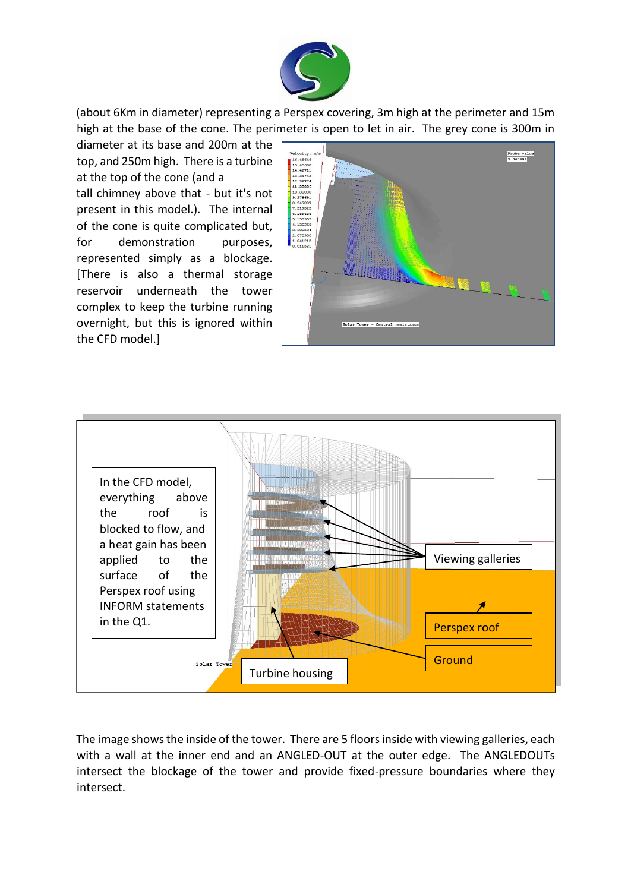

(about 6Km in diameter) representing a Perspex covering, 3m high at the perimeter and 15m high at the base of the cone. The perimeter is open to let in air. The grey cone is 300m in

diameter at its base and 200m at the top, and 250m high. There is a turbine at the top of the cone (and a tall chimney above that - but it's not present in this model.). The internal of the cone is quite complicated but, for demonstration purposes, represented simply as a blockage. [There is also a thermal storage reservoir underneath the tower complex to keep the turbine running overnight, but this is ignored within the CFD model.]





The image shows the inside of the tower. There are 5 floors inside with viewing galleries, each with a wall at the inner end and an ANGLED-OUT at the outer edge. The ANGLEDOUTs intersect the blockage of the tower and provide fixed-pressure boundaries where they intersect.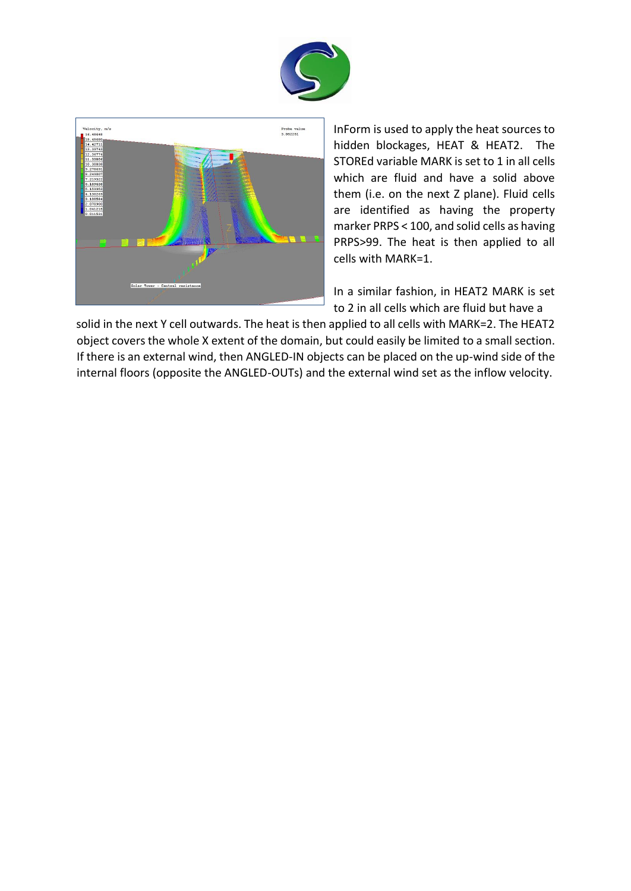



InForm is used to apply the heat sources to hidden blockages, HEAT & HEAT2. The STOREd variable MARK is set to 1 in all cells which are fluid and have a solid above them (i.e. on the next Z plane). Fluid cells are identified as having the property marker PRPS < 100, and solid cells as having PRPS>99. The heat is then applied to all cells with MARK=1.

In a similar fashion, in HEAT2 MARK is set to 2 in all cells which are fluid but have a

solid in the next Y cell outwards. The heat is then applied to all cells with MARK=2. The HEAT2 object covers the whole X extent of the domain, but could easily be limited to a small section. If there is an external wind, then ANGLED-IN objects can be placed on the up-wind side of the internal floors (opposite the ANGLED-OUTs) and the external wind set as the inflow velocity.